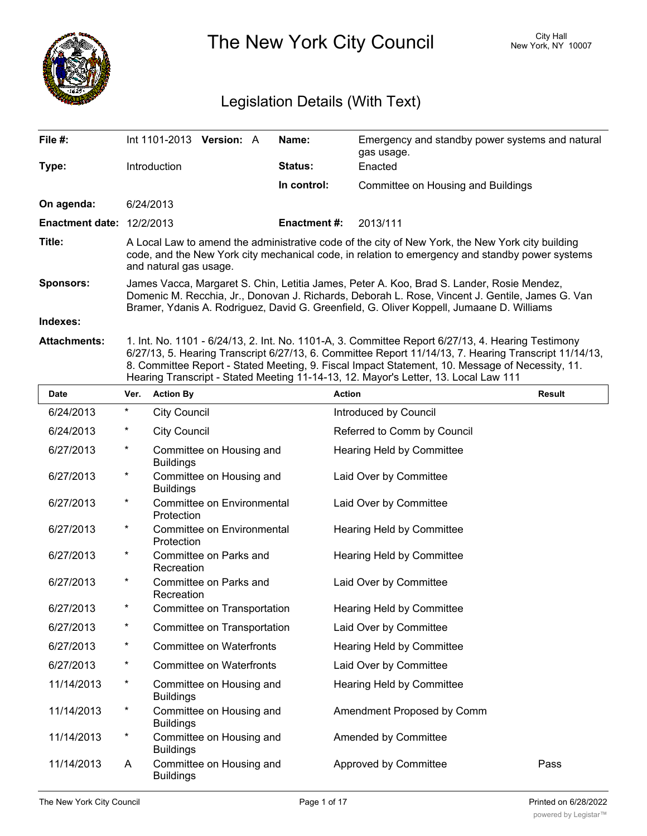

The New York City Council New York, NY 10007

# Legislation Details (With Text)

| File #:                          | Int 1101-2013 Version: A                                                                                                                                                                                                                                                                 |  |  | Name:               | Emergency and standby power systems and natural<br>gas usage.                                                                                                                                                                                                                                                                                                                                        |  |  |
|----------------------------------|------------------------------------------------------------------------------------------------------------------------------------------------------------------------------------------------------------------------------------------------------------------------------------------|--|--|---------------------|------------------------------------------------------------------------------------------------------------------------------------------------------------------------------------------------------------------------------------------------------------------------------------------------------------------------------------------------------------------------------------------------------|--|--|
| Type:                            | Introduction                                                                                                                                                                                                                                                                             |  |  | Status:             | Enacted                                                                                                                                                                                                                                                                                                                                                                                              |  |  |
|                                  |                                                                                                                                                                                                                                                                                          |  |  | In control:         | Committee on Housing and Buildings                                                                                                                                                                                                                                                                                                                                                                   |  |  |
| On agenda:                       | 6/24/2013                                                                                                                                                                                                                                                                                |  |  |                     |                                                                                                                                                                                                                                                                                                                                                                                                      |  |  |
| <b>Enactment date: 12/2/2013</b> |                                                                                                                                                                                                                                                                                          |  |  | <b>Enactment #:</b> | 2013/111                                                                                                                                                                                                                                                                                                                                                                                             |  |  |
| Title:                           | A Local Law to amend the administrative code of the city of New York, the New York city building<br>code, and the New York city mechanical code, in relation to emergency and standby power systems<br>and natural gas usage.                                                            |  |  |                     |                                                                                                                                                                                                                                                                                                                                                                                                      |  |  |
| <b>Sponsors:</b>                 | James Vacca, Margaret S. Chin, Letitia James, Peter A. Koo, Brad S. Lander, Rosie Mendez,<br>Domenic M. Recchia, Jr., Donovan J. Richards, Deborah L. Rose, Vincent J. Gentile, James G. Van<br>Bramer, Ydanis A. Rodriguez, David G. Greenfield, G. Oliver Koppell, Jumaane D. Williams |  |  |                     |                                                                                                                                                                                                                                                                                                                                                                                                      |  |  |
| Indexes:                         |                                                                                                                                                                                                                                                                                          |  |  |                     |                                                                                                                                                                                                                                                                                                                                                                                                      |  |  |
| <b>Attachments:</b>              |                                                                                                                                                                                                                                                                                          |  |  |                     | 1. Int. No. 1101 - 6/24/13, 2. Int. No. 1101-A, 3. Committee Report 6/27/13, 4. Hearing Testimony<br>6/27/13, 5. Hearing Transcript 6/27/13, 6. Committee Report 11/14/13, 7. Hearing Transcript 11/14/13,<br>8. Committee Report - Stated Meeting, 9. Fiscal Impact Statement, 10. Message of Necessity, 11.<br>Hearing Transcript - Stated Meeting 11-14-13, 12. Mayor's Letter, 13. Local Law 111 |  |  |

| <b>Date</b> | Ver.     | <b>Action By</b>                             | <b>Action</b>               | <b>Result</b> |
|-------------|----------|----------------------------------------------|-----------------------------|---------------|
| 6/24/2013   | $^\star$ | <b>City Council</b>                          | Introduced by Council       |               |
| 6/24/2013   | $^\star$ | <b>City Council</b>                          | Referred to Comm by Council |               |
| 6/27/2013   | *        | Committee on Housing and<br><b>Buildings</b> | Hearing Held by Committee   |               |
| 6/27/2013   | $^\star$ | Committee on Housing and<br><b>Buildings</b> | Laid Over by Committee      |               |
| 6/27/2013   | $^\star$ | Committee on Environmental<br>Protection     | Laid Over by Committee      |               |
| 6/27/2013   | $^\star$ | Committee on Environmental<br>Protection     | Hearing Held by Committee   |               |
| 6/27/2013   | $^\star$ | Committee on Parks and<br>Recreation         | Hearing Held by Committee   |               |
| 6/27/2013   | *        | Committee on Parks and<br>Recreation         | Laid Over by Committee      |               |
| 6/27/2013   | $^\star$ | Committee on Transportation                  | Hearing Held by Committee   |               |
| 6/27/2013   | *        | Committee on Transportation                  | Laid Over by Committee      |               |
| 6/27/2013   | $^\star$ | <b>Committee on Waterfronts</b>              | Hearing Held by Committee   |               |
| 6/27/2013   | *        | <b>Committee on Waterfronts</b>              | Laid Over by Committee      |               |
| 11/14/2013  | $^\star$ | Committee on Housing and<br><b>Buildings</b> | Hearing Held by Committee   |               |
| 11/14/2013  | *        | Committee on Housing and<br><b>Buildings</b> | Amendment Proposed by Comm  |               |
| 11/14/2013  | $^\star$ | Committee on Housing and<br><b>Buildings</b> | Amended by Committee        |               |
| 11/14/2013  | A        | Committee on Housing and<br><b>Buildings</b> | Approved by Committee       | Pass          |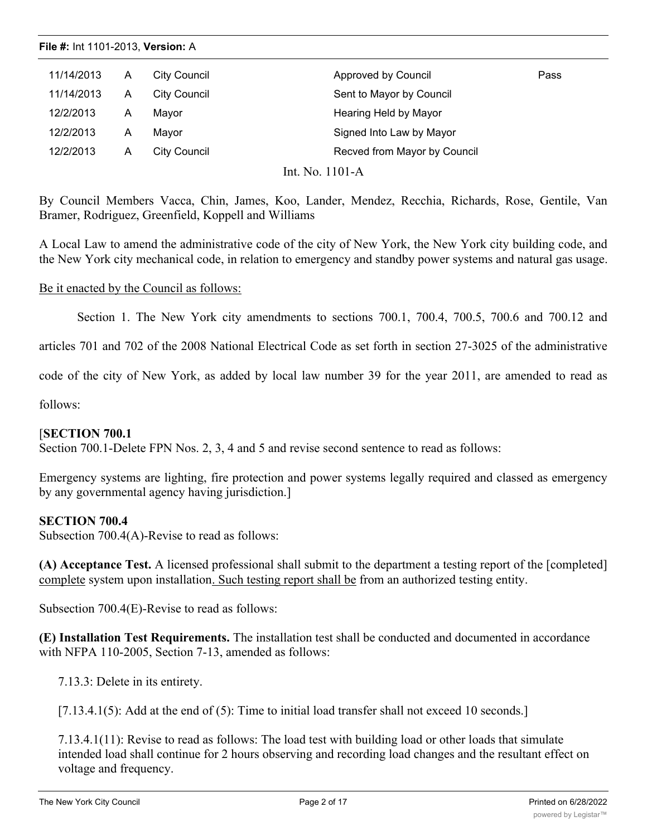| 11/14/2013 | A | <b>City Council</b> | Approved by Council          | Pass |
|------------|---|---------------------|------------------------------|------|
| 11/14/2013 | A | <b>City Council</b> | Sent to Mayor by Council     |      |
| 12/2/2013  | A | Mayor               | Hearing Held by Mayor        |      |
| 12/2/2013  | A | Mavor               | Signed Into Law by Mayor     |      |
| 12/2/2013  | A | City Council        | Recved from Mayor by Council |      |

Int. No. 1101-A

By Council Members Vacca, Chin, James, Koo, Lander, Mendez, Recchia, Richards, Rose, Gentile, Van Bramer, Rodriguez, Greenfield, Koppell and Williams

A Local Law to amend the administrative code of the city of New York, the New York city building code, and the New York city mechanical code, in relation to emergency and standby power systems and natural gas usage.

## Be it enacted by the Council as follows:

Section 1. The New York city amendments to sections 700.1, 700.4, 700.5, 700.6 and 700.12 and

articles 701 and 702 of the 2008 National Electrical Code as set forth in section 27-3025 of the administrative

code of the city of New York, as added by local law number 39 for the year 2011, are amended to read as

follows:

## [**SECTION 700.1**

Section 700.1-Delete FPN Nos. 2, 3, 4 and 5 and revise second sentence to read as follows:

Emergency systems are lighting, fire protection and power systems legally required and classed as emergency by any governmental agency having jurisdiction.]

## **SECTION 700.4**

Subsection 700.4(A)-Revise to read as follows:

**(A) Acceptance Test.** A licensed professional shall submit to the department a testing report of the [completed] complete system upon installation. Such testing report shall be from an authorized testing entity.

Subsection 700.4(E)-Revise to read as follows:

**(E) Installation Test Requirements.** The installation test shall be conducted and documented in accordance with NFPA 110-2005, Section 7-13, amended as follows:

7.13.3: Delete in its entirety.

[7.13.4.1(5): Add at the end of (5): Time to initial load transfer shall not exceed 10 seconds.]

7.13.4.1(11): Revise to read as follows: The load test with building load or other loads that simulate intended load shall continue for 2 hours observing and recording load changes and the resultant effect on voltage and frequency.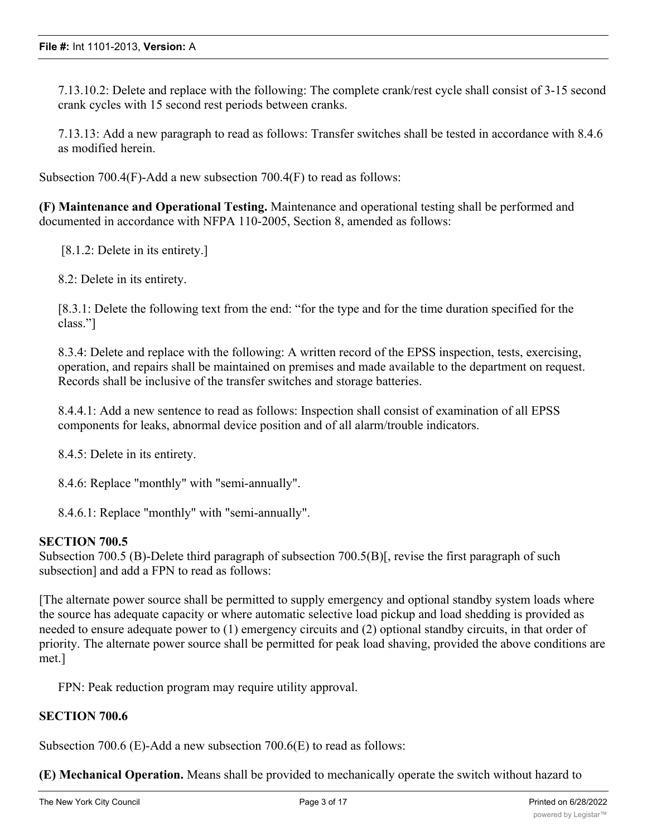7.13.10.2: Delete and replace with the following: The complete crank/rest cycle shall consist of 3-15 second crank cycles with 15 second rest periods between cranks.

7.13.13: Add a new paragraph to read as follows: Transfer switches shall be tested in accordance with 8.4.6 as modified herein.

Subsection 700.4(F)-Add a new subsection 700.4(F) to read as follows:

**(F) Maintenance and Operational Testing.** Maintenance and operational testing shall be performed and documented in accordance with NFPA 110-2005, Section 8, amended as follows:

[8.1.2: Delete in its entirety.]

8.2: Delete in its entirety.

[8.3.1: Delete the following text from the end: "for the type and for the time duration specified for the class."]

8.3.4: Delete and replace with the following: A written record of the EPSS inspection, tests, exercising, operation, and repairs shall be maintained on premises and made available to the department on request. Records shall be inclusive of the transfer switches and storage batteries.

8.4.4.1: Add a new sentence to read as follows: Inspection shall consist of examination of all EPSS components for leaks, abnormal device position and of all alarm/trouble indicators.

8.4.5: Delete in its entirety.

8.4.6: Replace "monthly" with "semi-annually".

8.4.6.1: Replace "monthly" with "semi-annually".

## **SECTION 700.5**

Subsection 700.5 (B)-Delete third paragraph of subsection 700.5(B)[, revise the first paragraph of such subsection] and add a FPN to read as follows:

[The alternate power source shall be permitted to supply emergency and optional standby system loads where the source has adequate capacity or where automatic selective load pickup and load shedding is provided as needed to ensure adequate power to (1) emergency circuits and (2) optional standby circuits, in that order of priority. The alternate power source shall be permitted for peak load shaving, provided the above conditions are met.]

FPN: Peak reduction program may require utility approval.

## **SECTION 700.6**

Subsection 700.6 (E)-Add a new subsection 700.6(E) to read as follows:

**(E) Mechanical Operation.** Means shall be provided to mechanically operate the switch without hazard to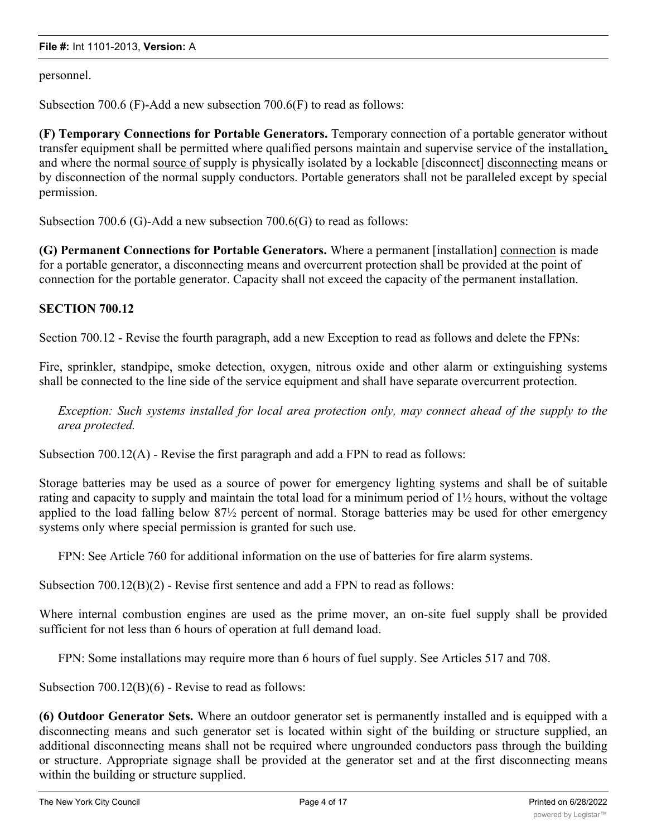personnel.

Subsection 700.6 (F)-Add a new subsection 700.6(F) to read as follows:

**(F) Temporary Connections for Portable Generators.** Temporary connection of a portable generator without transfer equipment shall be permitted where qualified persons maintain and supervise service of the installation, and where the normal source of supply is physically isolated by a lockable [disconnect] disconnecting means or by disconnection of the normal supply conductors. Portable generators shall not be paralleled except by special permission.

Subsection 700.6 (G)-Add a new subsection 700.6(G) to read as follows:

**(G) Permanent Connections for Portable Generators.** Where a permanent [installation] connection is made for a portable generator, a disconnecting means and overcurrent protection shall be provided at the point of connection for the portable generator. Capacity shall not exceed the capacity of the permanent installation.

## **SECTION 700.12**

Section 700.12 - Revise the fourth paragraph, add a new Exception to read as follows and delete the FPNs:

Fire, sprinkler, standpipe, smoke detection, oxygen, nitrous oxide and other alarm or extinguishing systems shall be connected to the line side of the service equipment and shall have separate overcurrent protection.

*Exception: Such systems installed for local area protection only, may connect ahead of the supply to the area protected.*

Subsection 700.12(A) - Revise the first paragraph and add a FPN to read as follows:

Storage batteries may be used as a source of power for emergency lighting systems and shall be of suitable rating and capacity to supply and maintain the total load for a minimum period of 1½ hours, without the voltage applied to the load falling below 87½ percent of normal. Storage batteries may be used for other emergency systems only where special permission is granted for such use.

FPN: See Article 760 for additional information on the use of batteries for fire alarm systems.

Subsection 700.12(B)(2) - Revise first sentence and add a FPN to read as follows:

Where internal combustion engines are used as the prime mover, an on-site fuel supply shall be provided sufficient for not less than 6 hours of operation at full demand load.

FPN: Some installations may require more than 6 hours of fuel supply. See Articles 517 and 708.

Subsection 700.12(B)(6) - Revise to read as follows:

**(6) Outdoor Generator Sets.** Where an outdoor generator set is permanently installed and is equipped with a disconnecting means and such generator set is located within sight of the building or structure supplied, an additional disconnecting means shall not be required where ungrounded conductors pass through the building or structure. Appropriate signage shall be provided at the generator set and at the first disconnecting means within the building or structure supplied.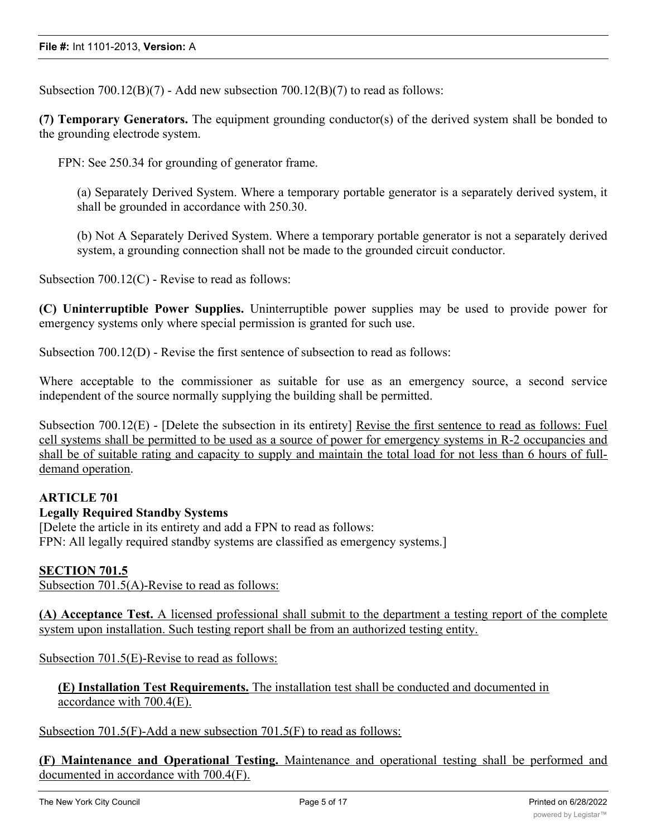Subsection  $700.12(B)(7)$  - Add new subsection  $700.12(B)(7)$  to read as follows:

**(7) Temporary Generators.** The equipment grounding conductor(s) of the derived system shall be bonded to the grounding electrode system.

FPN: See 250.34 for grounding of generator frame.

(a) Separately Derived System. Where a temporary portable generator is a separately derived system, it shall be grounded in accordance with 250.30.

(b) Not A Separately Derived System. Where a temporary portable generator is not a separately derived system, a grounding connection shall not be made to the grounded circuit conductor.

Subsection 700.12(C) - Revise to read as follows:

**(C) Uninterruptible Power Supplies.** Uninterruptible power supplies may be used to provide power for emergency systems only where special permission is granted for such use.

Subsection 700.12(D) - Revise the first sentence of subsection to read as follows:

Where acceptable to the commissioner as suitable for use as an emergency source, a second service independent of the source normally supplying the building shall be permitted.

Subsection 700.12(E) - [Delete the subsection in its entirety] Revise the first sentence to read as follows: Fuel cell systems shall be permitted to be used as a source of power for emergency systems in R-2 occupancies and shall be of suitable rating and capacity to supply and maintain the total load for not less than 6 hours of fulldemand operation.

## **ARTICLE 701**

## **Legally Required Standby Systems**

[Delete the article in its entirety and add a FPN to read as follows: FPN: All legally required standby systems are classified as emergency systems.]

## **SECTION 701.5**

Subsection 701.5(A)-Revise to read as follows:

**(A) Acceptance Test.** A licensed professional shall submit to the department a testing report of the complete system upon installation. Such testing report shall be from an authorized testing entity.

Subsection 701.5(E)-Revise to read as follows:

**(E) Installation Test Requirements.** The installation test shall be conducted and documented in accordance with 700.4(E).

Subsection 701.5(F)-Add a new subsection 701.5(F) to read as follows:

**(F) Maintenance and Operational Testing.** Maintenance and operational testing shall be performed and documented in accordance with 700.4(F).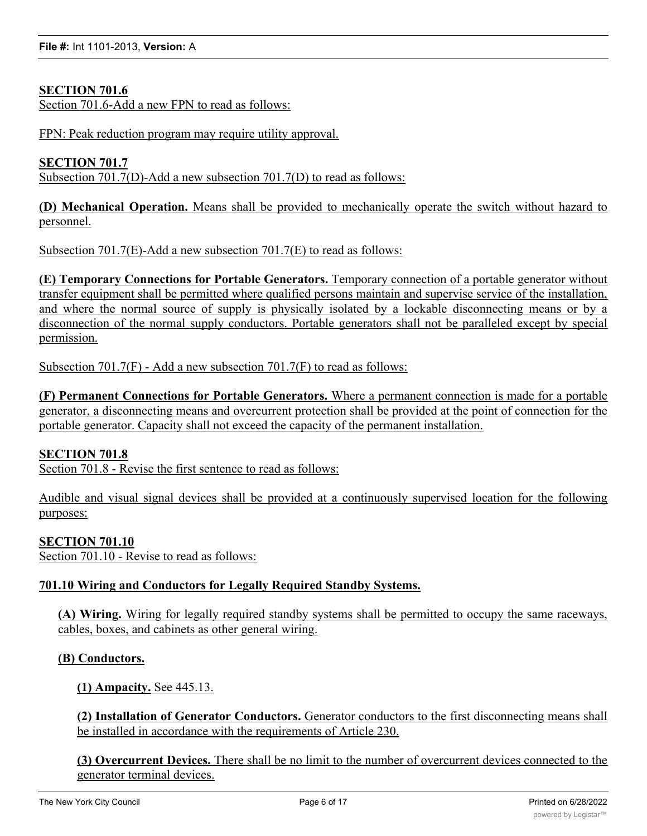# **SECTION 701.6**

Section 701.6-Add a new FPN to read as follows:

FPN: Peak reduction program may require utility approval.

## **SECTION 701.7**

Subsection 701.7(D)-Add a new subsection 701.7(D) to read as follows:

**(D) Mechanical Operation.** Means shall be provided to mechanically operate the switch without hazard to personnel.

Subsection 701.7(E)-Add a new subsection 701.7(E) to read as follows:

**(E) Temporary Connections for Portable Generators.** Temporary connection of a portable generator without transfer equipment shall be permitted where qualified persons maintain and supervise service of the installation, and where the normal source of supply is physically isolated by a lockable disconnecting means or by a disconnection of the normal supply conductors. Portable generators shall not be paralleled except by special permission.

Subsection 701.7(F) - Add a new subsection 701.7(F) to read as follows:

**(F) Permanent Connections for Portable Generators.** Where a permanent connection is made for a portable generator, a disconnecting means and overcurrent protection shall be provided at the point of connection for the portable generator. Capacity shall not exceed the capacity of the permanent installation.

## **SECTION 701.8**

Section 701.8 - Revise the first sentence to read as follows:

Audible and visual signal devices shall be provided at a continuously supervised location for the following purposes:

## **SECTION 701.10**

Section 701.10 - Revise to read as follows:

## **701.10 Wiring and Conductors for Legally Required Standby Systems.**

**(A) Wiring.** Wiring for legally required standby systems shall be permitted to occupy the same raceways, cables, boxes, and cabinets as other general wiring.

## **(B) Conductors.**

**(1) Ampacity.** See 445.13.

**(2) Installation of Generator Conductors.** Generator conductors to the first disconnecting means shall be installed in accordance with the requirements of Article 230.

**(3) Overcurrent Devices.** There shall be no limit to the number of overcurrent devices connected to the generator terminal devices.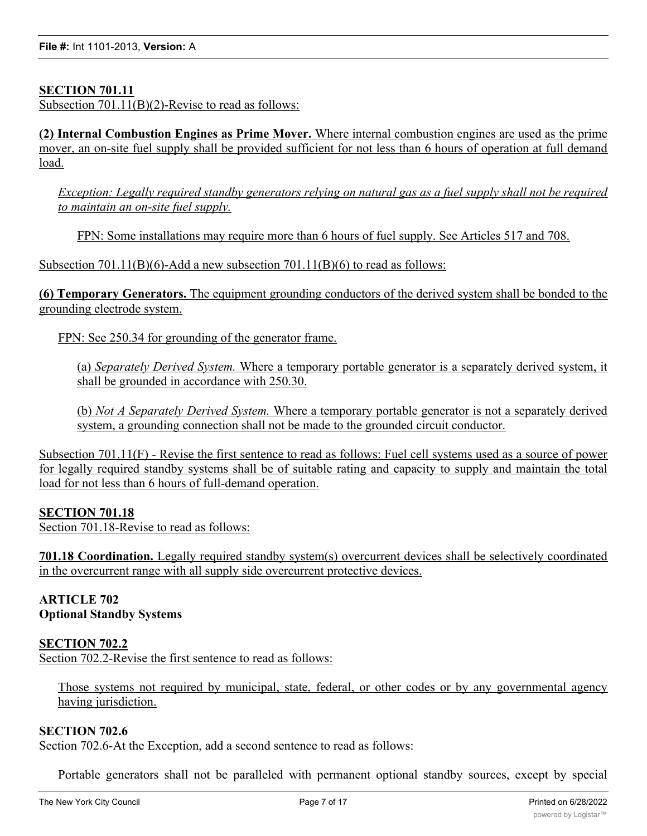## **SECTION 701.11**

Subsection 701.11(B)(2)-Revise to read as follows:

**(2) Internal Combustion Engines as Prime Mover.** Where internal combustion engines are used as the prime mover, an on-site fuel supply shall be provided sufficient for not less than 6 hours of operation at full demand load.

Exception: Legally required standby generators relying on natural gas as a fuel supply shall not be required *to maintain an on-site fuel supply.*

FPN: Some installations may require more than 6 hours of fuel supply. See Articles 517 and 708.

Subsection  $701.11(B)(6)$ -Add a new subsection  $701.11(B)(6)$  to read as follows:

**(6) Temporary Generators.** The equipment grounding conductors of the derived system shall be bonded to the grounding electrode system.

FPN: See 250.34 for grounding of the generator frame.

(a) *Separately Derived System.* Where a temporary portable generator is a separately derived system, it shall be grounded in accordance with 250.30.

(b) *Not A Separately Derived System.* Where a temporary portable generator is not a separately derived system, a grounding connection shall not be made to the grounded circuit conductor.

Subsection 701.11(F) - Revise the first sentence to read as follows: Fuel cell systems used as a source of power for legally required standby systems shall be of suitable rating and capacity to supply and maintain the total load for not less than 6 hours of full-demand operation.

## **SECTION 701.18**

Section 701.18-Revise to read as follows:

**701.18 Coordination.** Legally required standby system(s) overcurrent devices shall be selectively coordinated in the overcurrent range with all supply side overcurrent protective devices.

**ARTICLE 702 Optional Standby Systems**

## **SECTION 702.2**

Section 702.2-Revise the first sentence to read as follows:

Those systems not required by municipal, state, federal, or other codes or by any governmental agency having jurisdiction.

## **SECTION 702.6**

Section 702.6-At the Exception, add a second sentence to read as follows:

Portable generators shall not be paralleled with permanent optional standby sources, except by special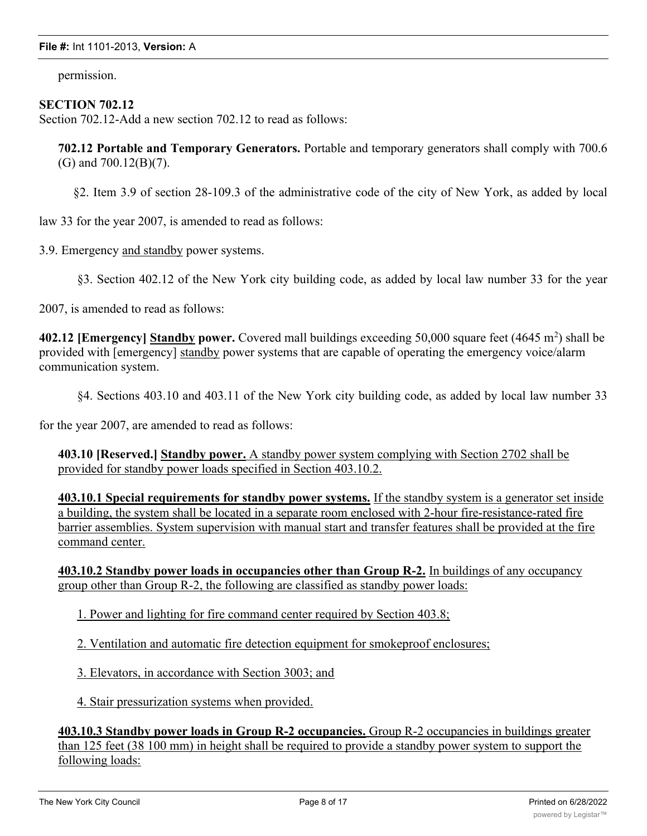permission.

## **SECTION 702.12**

Section 702.12-Add a new section 702.12 to read as follows:

**702.12 Portable and Temporary Generators.** Portable and temporary generators shall comply with 700.6 (G) and 700.12(B)(7).

§2. Item 3.9 of section 28-109.3 of the administrative code of the city of New York, as added by local

law 33 for the year 2007, is amended to read as follows:

3.9. Emergency and standby power systems.

§3. Section 402.12 of the New York city building code, as added by local law number 33 for the year

2007, is amended to read as follows:

402.12 [Emergency] Standby power. Covered mall buildings exceeding 50,000 square feet (4645 m<sup>2</sup>) shall be provided with [emergency] standby power systems that are capable of operating the emergency voice/alarm communication system.

§4. Sections 403.10 and 403.11 of the New York city building code, as added by local law number 33

for the year 2007, are amended to read as follows:

**403.10 [Reserved.] Standby power.** A standby power system complying with Section 2702 shall be provided for standby power loads specified in Section 403.10.2.

**403.10.1 Special requirements for standby power systems.** If the standby system is a generator set inside a building, the system shall be located in a separate room enclosed with 2-hour fire-resistance-rated fire barrier assemblies. System supervision with manual start and transfer features shall be provided at the fire command center.

**403.10.2 Standby power loads in occupancies other than Group R-2.** In buildings of any occupancy group other than Group R-2, the following are classified as standby power loads:

1. Power and lighting for fire command center required by Section 403.8;

2. Ventilation and automatic fire detection equipment for smokeproof enclosures;

3. Elevators, in accordance with Section 3003; and

4. Stair pressurization systems when provided.

**403.10.3 Standby power loads in Group R-2 occupancies.** Group R-2 occupancies in buildings greater than 125 feet (38 100 mm) in height shall be required to provide a standby power system to support the following loads: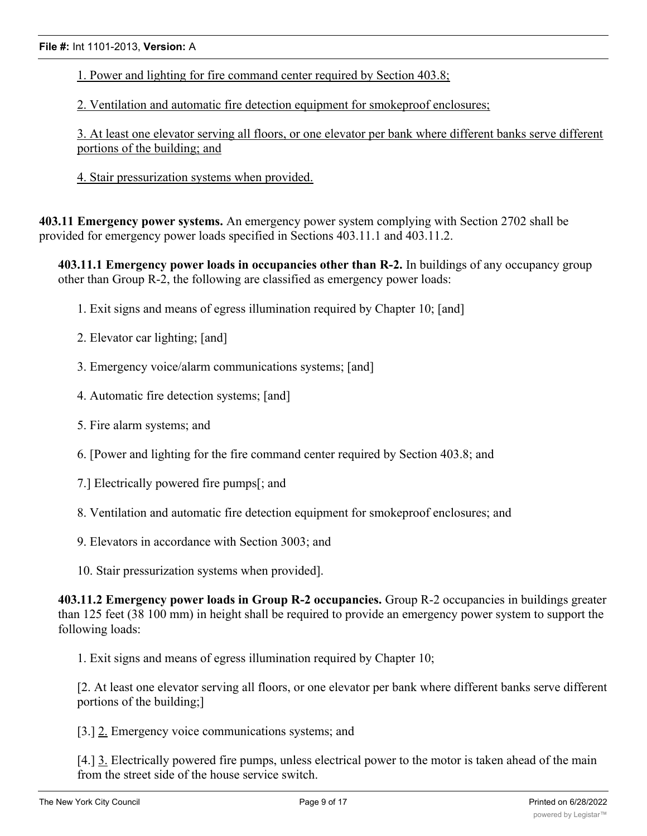1. Power and lighting for fire command center required by Section 403.8;

2. Ventilation and automatic fire detection equipment for smokeproof enclosures;

3. At least one elevator serving all floors, or one elevator per bank where different banks serve different portions of the building; and

4. Stair pressurization systems when provided.

**403.11 Emergency power systems.** An emergency power system complying with Section 2702 shall be provided for emergency power loads specified in Sections 403.11.1 and 403.11.2.

**403.11.1 Emergency power loads in occupancies other than R-2.** In buildings of any occupancy group other than Group R-2, the following are classified as emergency power loads:

- 1. Exit signs and means of egress illumination required by Chapter 10; [and]
- 2. Elevator car lighting; [and]
- 3. Emergency voice/alarm communications systems; [and]
- 4. Automatic fire detection systems; [and]
- 5. Fire alarm systems; and
- 6. [Power and lighting for the fire command center required by Section 403.8; and
- 7.] Electrically powered fire pumps[; and
- 8. Ventilation and automatic fire detection equipment for smokeproof enclosures; and
- 9. Elevators in accordance with Section 3003; and
- 10. Stair pressurization systems when provided].

**403.11.2 Emergency power loads in Group R-2 occupancies.** Group R-2 occupancies in buildings greater than 125 feet (38 100 mm) in height shall be required to provide an emergency power system to support the following loads:

1. Exit signs and means of egress illumination required by Chapter 10;

[2. At least one elevator serving all floors, or one elevator per bank where different banks serve different portions of the building;]

[3.] 2. Emergency voice communications systems; and

[4.] 3. Electrically powered fire pumps, unless electrical power to the motor is taken ahead of the main from the street side of the house service switch.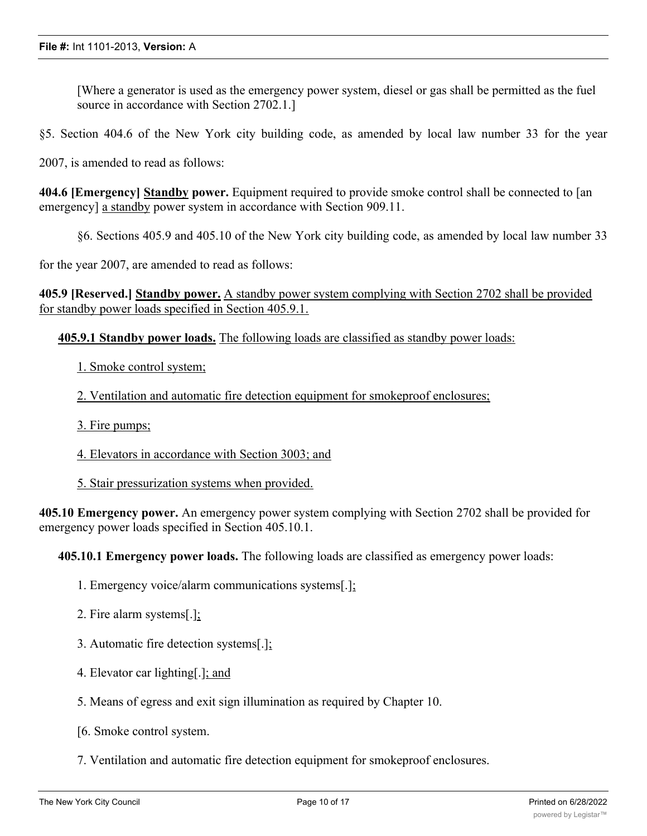[Where a generator is used as the emergency power system, diesel or gas shall be permitted as the fuel source in accordance with Section 2702.1.]

§5. Section 404.6 of the New York city building code, as amended by local law number 33 for the year

2007, is amended to read as follows:

**404.6 [Emergency] Standby power.** Equipment required to provide smoke control shall be connected to [an emergency] a standby power system in accordance with Section 909.11.

§6. Sections 405.9 and 405.10 of the New York city building code, as amended by local law number 33

for the year 2007, are amended to read as follows:

**405.9 [Reserved.] Standby power.** A standby power system complying with Section 2702 shall be provided for standby power loads specified in Section 405.9.1.

#### **405.9.1 Standby power loads.** The following loads are classified as standby power loads:

1. Smoke control system;

2. Ventilation and automatic fire detection equipment for smokeproof enclosures;

- 3. Fire pumps;
- 4. Elevators in accordance with Section 3003; and
- 5. Stair pressurization systems when provided.

**405.10 Emergency power.** An emergency power system complying with Section 2702 shall be provided for emergency power loads specified in Section 405.10.1.

**405.10.1 Emergency power loads.** The following loads are classified as emergency power loads:

- 1. Emergency voice/alarm communications systems[.];
- 2. Fire alarm systems[.];
- 3. Automatic fire detection systems[.];
- 4. Elevator car lighting[.]; and
- 5. Means of egress and exit sign illumination as required by Chapter 10.
- [6. Smoke control system.
- 7. Ventilation and automatic fire detection equipment for smokeproof enclosures.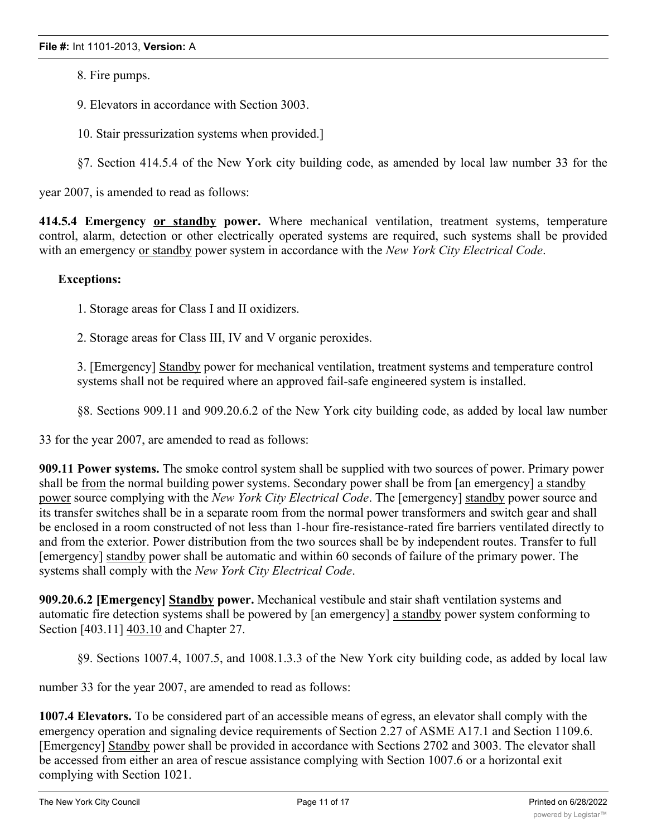- 8. Fire pumps.
- 9. Elevators in accordance with Section 3003.
- 10. Stair pressurization systems when provided.]
- §7. Section 414.5.4 of the New York city building code, as amended by local law number 33 for the

year 2007, is amended to read as follows:

**414.5.4 Emergency or standby power.** Where mechanical ventilation, treatment systems, temperature control, alarm, detection or other electrically operated systems are required, such systems shall be provided with an emergency or standby power system in accordance with the *New York City Electrical Code*.

## **Exceptions:**

1. Storage areas for Class I and II oxidizers.

2. Storage areas for Class III, IV and V organic peroxides.

3. [Emergency] Standby power for mechanical ventilation, treatment systems and temperature control systems shall not be required where an approved fail-safe engineered system is installed.

§8. Sections 909.11 and 909.20.6.2 of the New York city building code, as added by local law number

33 for the year 2007, are amended to read as follows:

**909.11 Power systems.** The smoke control system shall be supplied with two sources of power. Primary power shall be from the normal building power systems. Secondary power shall be from [an emergency] a standby power source complying with the *New York City Electrical Code*. The [emergency] standby power source and its transfer switches shall be in a separate room from the normal power transformers and switch gear and shall be enclosed in a room constructed of not less than 1-hour fire-resistance-rated fire barriers ventilated directly to and from the exterior. Power distribution from the two sources shall be by independent routes. Transfer to full [emergency] standby power shall be automatic and within 60 seconds of failure of the primary power. The systems shall comply with the *New York City Electrical Code*.

**909.20.6.2 [Emergency] Standby power.** Mechanical vestibule and stair shaft ventilation systems and automatic fire detection systems shall be powered by [an emergency] a standby power system conforming to Section [403.11] 403.10 and Chapter 27.

§9. Sections 1007.4, 1007.5, and 1008.1.3.3 of the New York city building code, as added by local law

number 33 for the year 2007, are amended to read as follows:

**1007.4 Elevators.** To be considered part of an accessible means of egress, an elevator shall comply with the emergency operation and signaling device requirements of Section 2.27 of ASME A17.1 and Section 1109.6. [Emergency] Standby power shall be provided in accordance with Sections 2702 and 3003. The elevator shall be accessed from either an area of rescue assistance complying with Section 1007.6 or a horizontal exit complying with Section 1021.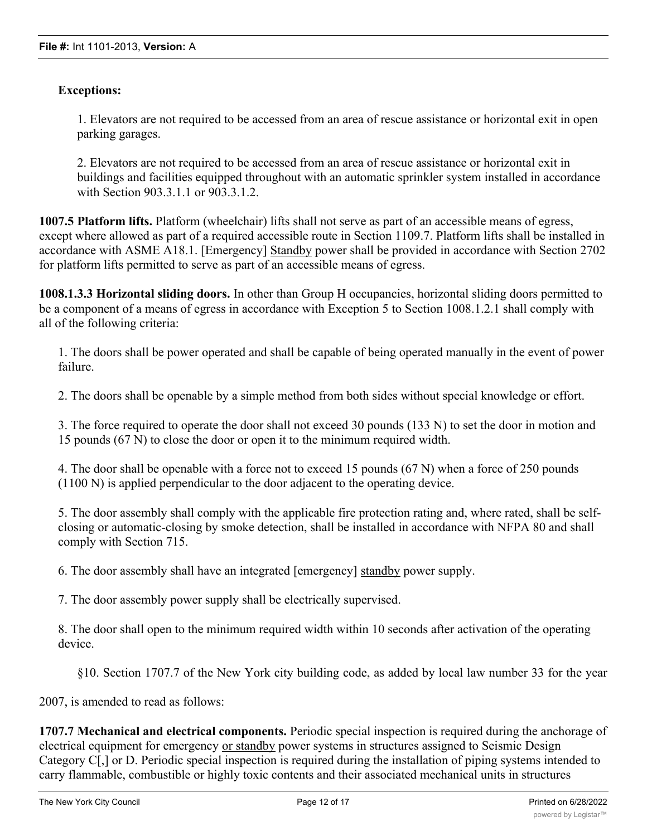# **Exceptions:**

1. Elevators are not required to be accessed from an area of rescue assistance or horizontal exit in open parking garages.

2. Elevators are not required to be accessed from an area of rescue assistance or horizontal exit in buildings and facilities equipped throughout with an automatic sprinkler system installed in accordance with Section 903.3.1.1 or 903.3.1.2.

**1007.5 Platform lifts.** Platform (wheelchair) lifts shall not serve as part of an accessible means of egress, except where allowed as part of a required accessible route in Section 1109.7. Platform lifts shall be installed in accordance with ASME A18.1. [Emergency] Standby power shall be provided in accordance with Section 2702 for platform lifts permitted to serve as part of an accessible means of egress.

**1008.1.3.3 Horizontal sliding doors.** In other than Group H occupancies, horizontal sliding doors permitted to be a component of a means of egress in accordance with Exception 5 to Section 1008.1.2.1 shall comply with all of the following criteria:

1. The doors shall be power operated and shall be capable of being operated manually in the event of power failure.

2. The doors shall be openable by a simple method from both sides without special knowledge or effort.

3. The force required to operate the door shall not exceed 30 pounds (133 N) to set the door in motion and 15 pounds (67 N) to close the door or open it to the minimum required width.

4. The door shall be openable with a force not to exceed 15 pounds (67 N) when a force of 250 pounds (1100 N) is applied perpendicular to the door adjacent to the operating device.

5. The door assembly shall comply with the applicable fire protection rating and, where rated, shall be selfclosing or automatic-closing by smoke detection, shall be installed in accordance with NFPA 80 and shall comply with Section 715.

6. The door assembly shall have an integrated [emergency] standby power supply.

7. The door assembly power supply shall be electrically supervised.

8. The door shall open to the minimum required width within 10 seconds after activation of the operating device.

§10. Section 1707.7 of the New York city building code, as added by local law number 33 for the year

2007, is amended to read as follows:

**1707.7 Mechanical and electrical components.** Periodic special inspection is required during the anchorage of electrical equipment for emergency or standby power systems in structures assigned to Seismic Design Category C[,] or D. Periodic special inspection is required during the installation of piping systems intended to carry flammable, combustible or highly toxic contents and their associated mechanical units in structures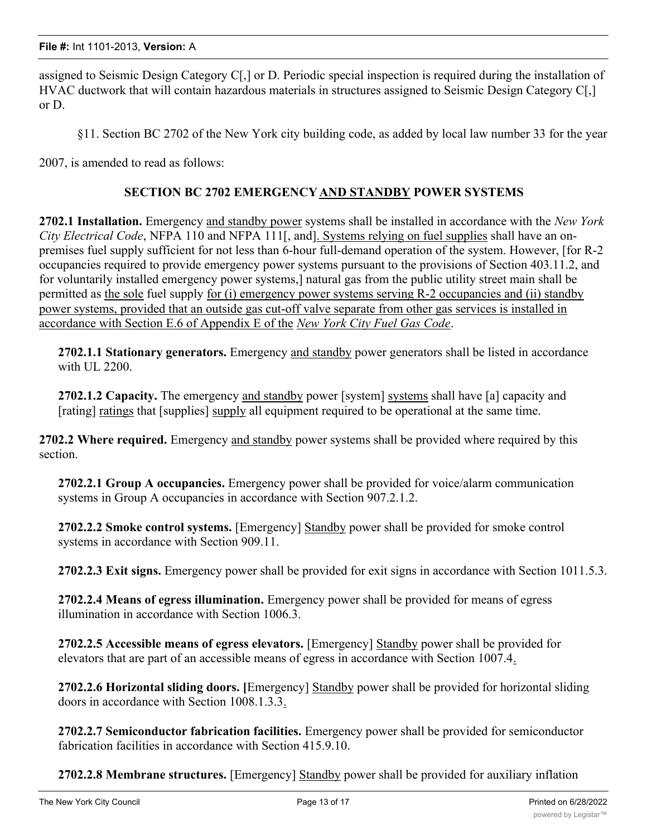assigned to Seismic Design Category C[,] or D. Periodic special inspection is required during the installation of HVAC ductwork that will contain hazardous materials in structures assigned to Seismic Design Category C[,] or D.

§11. Section BC 2702 of the New York city building code, as added by local law number 33 for the year

2007, is amended to read as follows:

# **SECTION BC 2702 EMERGENCYAND STANDBY POWER SYSTEMS**

**2702.1 Installation.** Emergency and standby power systems shall be installed in accordance with the *New York City Electrical Code*, NFPA 110 and NFPA 111[, and]. Systems relying on fuel supplies shall have an onpremises fuel supply sufficient for not less than 6-hour full-demand operation of the system. However, [for R-2 occupancies required to provide emergency power systems pursuant to the provisions of Section 403.11.2, and for voluntarily installed emergency power systems,] natural gas from the public utility street main shall be permitted as the sole fuel supply for (i) emergency power systems serving R-2 occupancies and (ii) standby power systems, provided that an outside gas cut-off valve separate from other gas services is installed in accordance with Section E.6 of Appendix E of the *New York City Fuel Gas Code*.

**2702.1.1 Stationary generators.** Emergency and standby power generators shall be listed in accordance with UL 2200.

**2702.1.2 Capacity.** The emergency and standby power [system] systems shall have [a] capacity and [rating] ratings that [supplies] supply all equipment required to be operational at the same time.

**2702.2 Where required.** Emergency and standby power systems shall be provided where required by this section.

**2702.2.1 Group A occupancies.** Emergency power shall be provided for voice/alarm communication systems in Group A occupancies in accordance with Section 907.2.1.2.

**2702.2.2 Smoke control systems.** [Emergency] Standby power shall be provided for smoke control systems in accordance with Section 909.11.

**2702.2.3 Exit signs.** Emergency power shall be provided for exit signs in accordance with Section 1011.5.3.

**2702.2.4 Means of egress illumination.** Emergency power shall be provided for means of egress illumination in accordance with Section 1006.3.

**2702.2.5 Accessible means of egress elevators.** [Emergency] Standby power shall be provided for elevators that are part of an accessible means of egress in accordance with Section 1007.4.

**2702.2.6 Horizontal sliding doors. [**Emergency] Standby power shall be provided for horizontal sliding doors in accordance with Section 1008.1.3.3.

**2702.2.7 Semiconductor fabrication facilities.** Emergency power shall be provided for semiconductor fabrication facilities in accordance with Section 415.9.10.

**2702.2.8 Membrane structures.** [Emergency] Standby power shall be provided for auxiliary inflation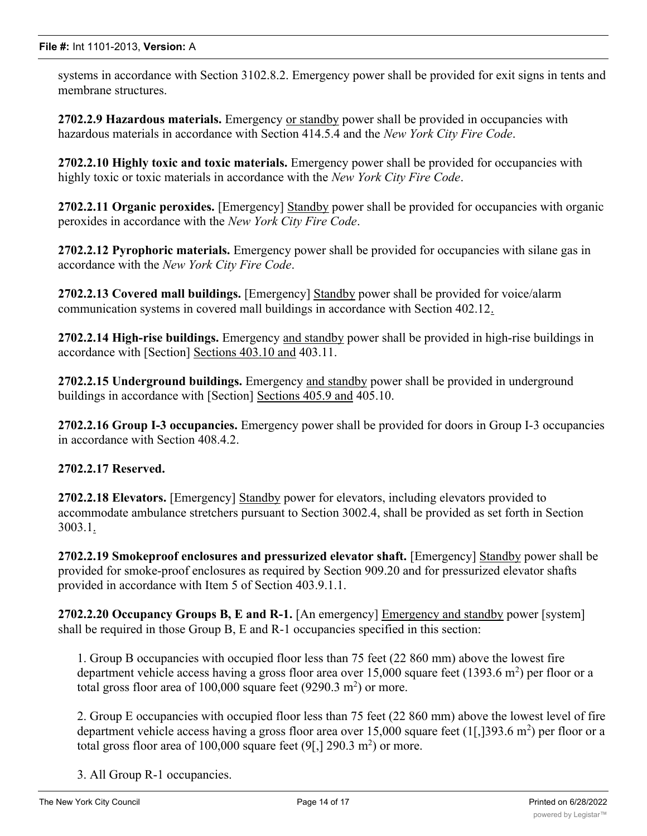systems in accordance with Section 3102.8.2. Emergency power shall be provided for exit signs in tents and membrane structures.

**2702.2.9 Hazardous materials.** Emergency or standby power shall be provided in occupancies with hazardous materials in accordance with Section 414.5.4 and the *New York City Fire Code*.

**2702.2.10 Highly toxic and toxic materials.** Emergency power shall be provided for occupancies with highly toxic or toxic materials in accordance with the *New York City Fire Code*.

**2702.2.11 Organic peroxides.** [Emergency] Standby power shall be provided for occupancies with organic peroxides in accordance with the *New York City Fire Code*.

**2702.2.12 Pyrophoric materials.** Emergency power shall be provided for occupancies with silane gas in accordance with the *New York City Fire Code*.

**2702.2.13 Covered mall buildings.** [Emergency] Standby power shall be provided for voice/alarm communication systems in covered mall buildings in accordance with Section 402.12.

**2702.2.14 High-rise buildings.** Emergency and standby power shall be provided in high-rise buildings in accordance with [Section] Sections 403.10 and 403.11.

**2702.2.15 Underground buildings.** Emergency and standby power shall be provided in underground buildings in accordance with [Section] Sections 405.9 and 405.10.

**2702.2.16 Group I-3 occupancies.** Emergency power shall be provided for doors in Group I-3 occupancies in accordance with Section 408.4.2.

# **2702.2.17 Reserved.**

**2702.2.18 Elevators.** [Emergency] Standby power for elevators, including elevators provided to accommodate ambulance stretchers pursuant to Section 3002.4, shall be provided as set forth in Section  $3003.1.$ 

**2702.2.19 Smokeproof enclosures and pressurized elevator shaft.** [Emergency] Standby power shall be provided for smoke-proof enclosures as required by Section 909.20 and for pressurized elevator shafts provided in accordance with Item 5 of Section 403.9.1.1.

**2702.2.20 Occupancy Groups B, E and R-1.** [An emergency] Emergency and standby power [system] shall be required in those Group B, E and R-1 occupancies specified in this section:

1. Group B occupancies with occupied floor less than 75 feet (22 860 mm) above the lowest fire department vehicle access having a gross floor area over 15,000 square feet (1393.6 m<sup>2</sup>) per floor or a total gross floor area of  $100,000$  square feet (9290.3 m<sup>2</sup>) or more.

2. Group E occupancies with occupied floor less than 75 feet (22 860 mm) above the lowest level of fire department vehicle access having a gross floor area over  $15,000$  square feet  $(1[,]393.6 \text{ m}^2$ ) per floor or a total gross floor area of  $100,000$  square feet  $(9$ [,]  $290.3 \text{ m}^2)$  or more.

3. All Group R-1 occupancies.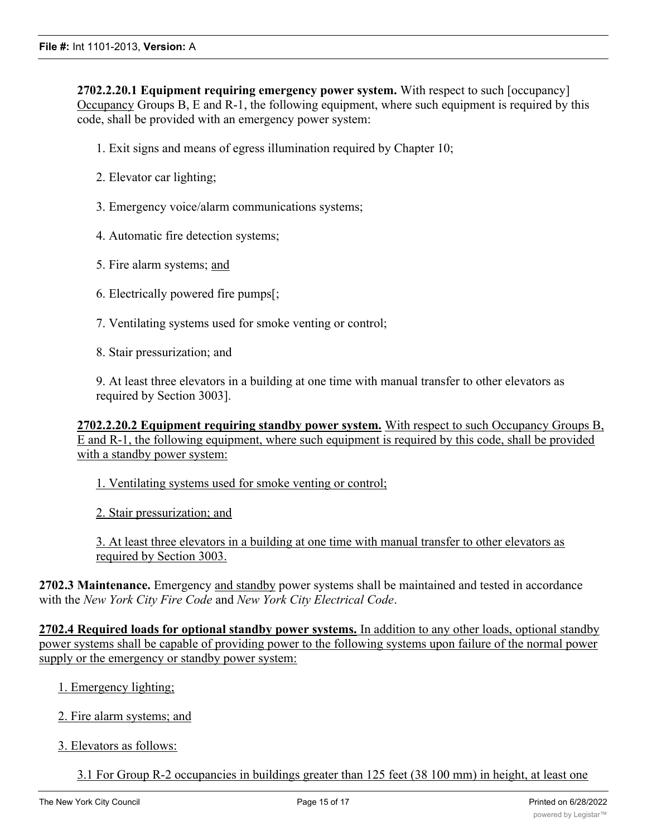**2702.2.20.1 Equipment requiring emergency power system.** With respect to such [occupancy] Occupancy Groups B, E and R-1, the following equipment, where such equipment is required by this code, shall be provided with an emergency power system:

1. Exit signs and means of egress illumination required by Chapter 10;

- 2. Elevator car lighting;
- 3. Emergency voice/alarm communications systems;
- 4. Automatic fire detection systems;
- 5. Fire alarm systems; and
- 6. Electrically powered fire pumps[;
- 7. Ventilating systems used for smoke venting or control;
- 8. Stair pressurization; and

9. At least three elevators in a building at one time with manual transfer to other elevators as required by Section 3003].

**2702.2.20.2 Equipment requiring standby power system.** With respect to such Occupancy Groups B, E and R-1, the following equipment, where such equipment is required by this code, shall be provided with a standby power system:

- 1. Ventilating systems used for smoke venting or control;
- 2. Stair pressurization; and

3. At least three elevators in a building at one time with manual transfer to other elevators as required by Section 3003.

**2702.3 Maintenance.** Emergency and standby power systems shall be maintained and tested in accordance with the *New York City Fire Code* and *New York City Electrical Code*.

**2702.4 Required loads for optional standby power systems.** In addition to any other loads, optional standby power systems shall be capable of providing power to the following systems upon failure of the normal power supply or the emergency or standby power system:

- 1. Emergency lighting;
- 2. Fire alarm systems; and
- 3. Elevators as follows:
	- 3.1 For Group R-2 occupancies in buildings greater than 125 feet (38 100 mm) in height, at least one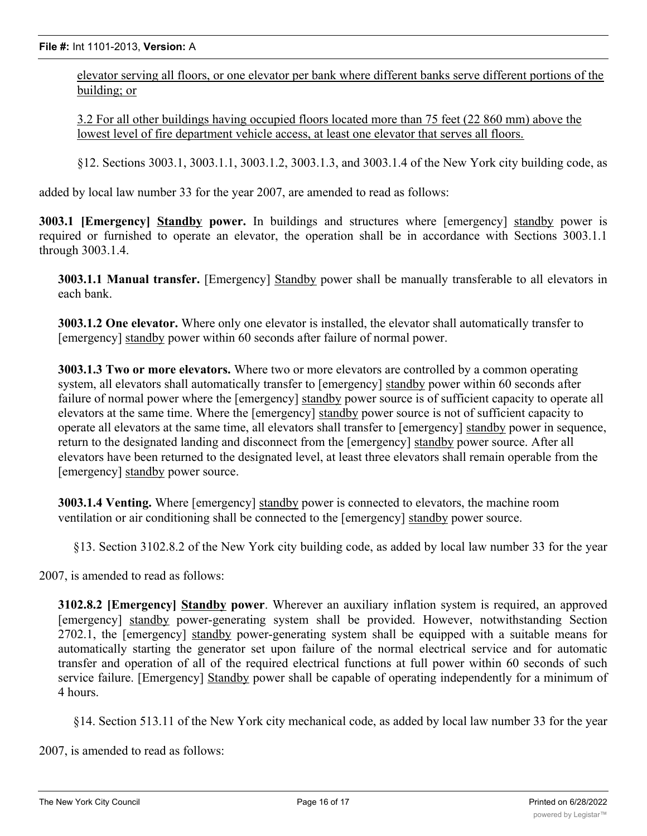elevator serving all floors, or one elevator per bank where different banks serve different portions of the building; or

3.2 For all other buildings having occupied floors located more than 75 feet (22 860 mm) above the lowest level of fire department vehicle access, at least one elevator that serves all floors.

§12. Sections 3003.1, 3003.1.1, 3003.1.2, 3003.1.3, and 3003.1.4 of the New York city building code, as

added by local law number 33 for the year 2007, are amended to read as follows:

**3003.1 [Emergency] Standby power.** In buildings and structures where [emergency] standby power is required or furnished to operate an elevator, the operation shall be in accordance with Sections 3003.1.1 through 3003.1.4.

**3003.1.1 Manual transfer.** [Emergency] Standby power shall be manually transferable to all elevators in each bank.

**3003.1.2 One elevator.** Where only one elevator is installed, the elevator shall automatically transfer to [emergency] standby power within 60 seconds after failure of normal power.

**3003.1.3 Two or more elevators.** Where two or more elevators are controlled by a common operating system, all elevators shall automatically transfer to [emergency] standby power within 60 seconds after failure of normal power where the [emergency] standby power source is of sufficient capacity to operate all elevators at the same time. Where the [emergency] standby power source is not of sufficient capacity to operate all elevators at the same time, all elevators shall transfer to [emergency] standby power in sequence, return to the designated landing and disconnect from the [emergency] standby power source. After all elevators have been returned to the designated level, at least three elevators shall remain operable from the [emergency] standby power source.

**3003.1.4 Venting.** Where [emergency] standby power is connected to elevators, the machine room ventilation or air conditioning shall be connected to the [emergency] standby power source.

§13. Section 3102.8.2 of the New York city building code, as added by local law number 33 for the year

2007, is amended to read as follows:

**3102.8.2 [Emergency] Standby power**. Wherever an auxiliary inflation system is required, an approved [emergency] standby power-generating system shall be provided. However, notwithstanding Section 2702.1, the [emergency] standby power-generating system shall be equipped with a suitable means for automatically starting the generator set upon failure of the normal electrical service and for automatic transfer and operation of all of the required electrical functions at full power within 60 seconds of such service failure. [Emergency] Standby power shall be capable of operating independently for a minimum of 4 hours.

§14. Section 513.11 of the New York city mechanical code, as added by local law number 33 for the year

2007, is amended to read as follows: